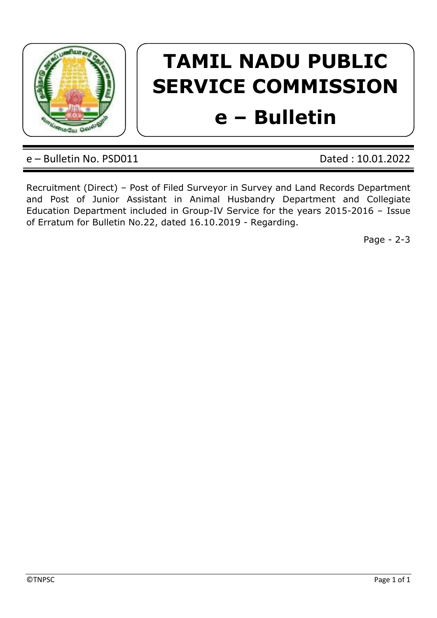

## **TAMIL NADU PUBLIC SERVICE COMMISSION**

## **e – Bulletin**

e – Bulletin No. PSD011 Dated : 10.01.2022

Recruitment (Direct) – Post of Filed Surveyor in Survey and Land Records Department and Post of Junior Assistant in Animal Husbandry Department and Collegiate Education Department included in Group-IV Service for the years 2015-2016 – Issue of Erratum for Bulletin No.22, dated 16.10.2019 - Regarding.

Page - 2-3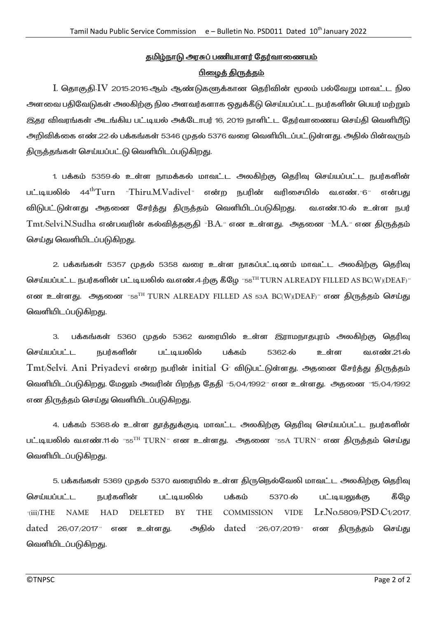## <u>தமிழ்நாடு அரசுப் பணியாளர் தேர்வாணையம்</u>

## பிழைத் திருத்தம்

I. தொகுதி IV 2015-2016 ஆம் ஆண்டுகளுக்கான தெரிவின் மூலம் பல்வேறு மாவட்ட நில அளவை பதிவேடுகள் அலகிற்கு நில அளவர்களாக ஒதுக்கீடு செய்யப்பட்ட நபர்களின் பெயர் மற்றும் இதர விவரங்கள் அடங்கிய பட்டியல் அக்டோபர் 16, 2019 நாளிட்ட தேர்வாணைய செய்தி வெளியீடு அறிவிக்கை எண்.22-ல் பக்கங்கள் 5346 முதல் 5376 வரை வெளியிடப்பட்டுள்ளது. அதில் பின்வரும் திருத்தங்கள் செய்யப்பட்டு வெளியிடப்படுகிறது.

1. பக்கம் 5359-ல் உள்ள நாமக்கல் மாவட்ட அலகிற்கு தெரிவு செய்யப்பட்ட நபர்களின் பட்டியலில் 44<sup>th</sup>Turn "Thiru.M.Vadivel" என்ற நபரின் வரிசையில் வ.எண். 6" என்பது விடுபட்டுள்ளது அதனை சேர்த்து திருத்தம் வெளியிடப்படுகிறது. வ.எண்.10-ல் உள்ள நபர் Tmt/Selvi.N.Sudha என்பவரின் கல்வித்தகுதி "B.A." என உள்ளது. அதனை "M.A." என திருத்தம் செய்து வெளியிடப்படுகிறது.

2. பக்கங்கள் 5357 முதல் 5358 வரை உள்ள நாகப்பட்டினம் மாவட்ட அலகிற்கு தெரிவு செய்யப்பட்ட நபர்களின் பட்டியலில் வ.எண்.4-ற்கு கீழே "58TH TURN ALREADY FILLED AS BC(W)(DEAF)" என உள்ளது. அதனை " $58^{TH}$  TURN ALREADY FILLED AS  $53A$  BC(W)(DEAF)" என திருத்தம் செய்து வெளியிடப்படுகிறது.

3. பக்கங்கள் 5360 முதல் 5362 வரையில் உள்ள இராமநாதபுரம் அலகிற்கு தெரிவு செய்யப்பட்ட நபர்களின் பட்டியலில் பக்கம் 5362-ல் உள்ள வ.எண்.21-ல்  $T$ mt/Selvi. Ani Priyadevi என்ற நபரின் initial  $G$  விடுபட்டுள்ளது. அதனை சேர்த்து திருத்தம் லெளியிடப்படுகிறது. மேலும் அவரின் பிறந்த தேதி "5/04/1992" என உள்ளது. அதனை "15/04/1992 என திருத்தம் செய்து வெளியிடப்படுகிறது.

4. பக்கம் 5368-ல் உள்ள தூத்துக்குடி மாவட்ட அலகிற்கு தெரிவு செய்யப்பட்ட நபர்களின் பட்டியலில் வ.எண்.11-ல் "55<sup>TH</sup> TURN" என உள்ளது. அதனை "55A TURN" என திருத்தம் செய்து வெளியிடப்படுகிறது.

5. பக்கங்கள் 5369 முதல் 5370 வரையில் உள்ள திருநெல்வேலி மாவட்ட அலகிற்கு தெரிவு செய்யப்பட்ட நபர்களின் பட்டியலில் பக்கம் 5370-ல் பட்டியலுக்கு கீழே \_(iii)THE NAME HAD DELETED BY THE COMMISSION VIDE Lr.No.5809/PSD-C1/2017, dated 26/07/2017" என உள்ளது. அதில் dated "26/07/2019" என திருத்தம் செய்து வெளியிடப்படுகிறது.